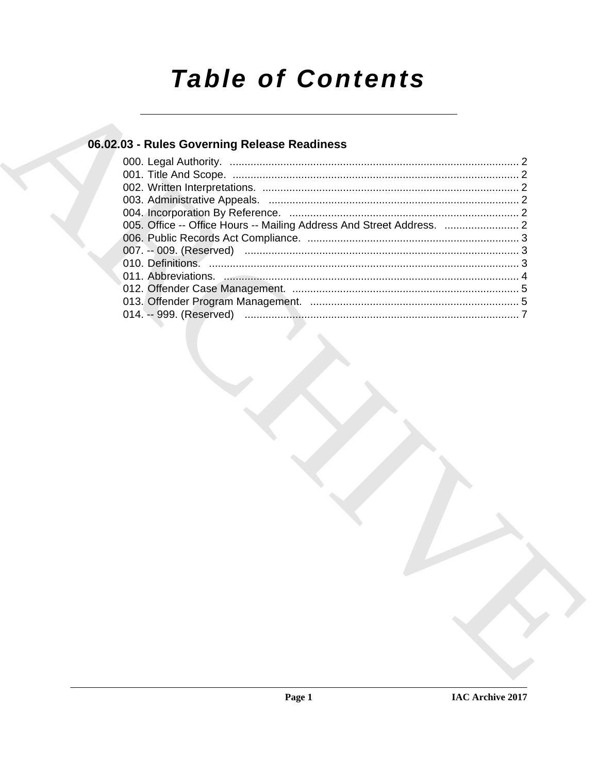# **Table of Contents**

## 06.02.03 - Rules Governing Release Readiness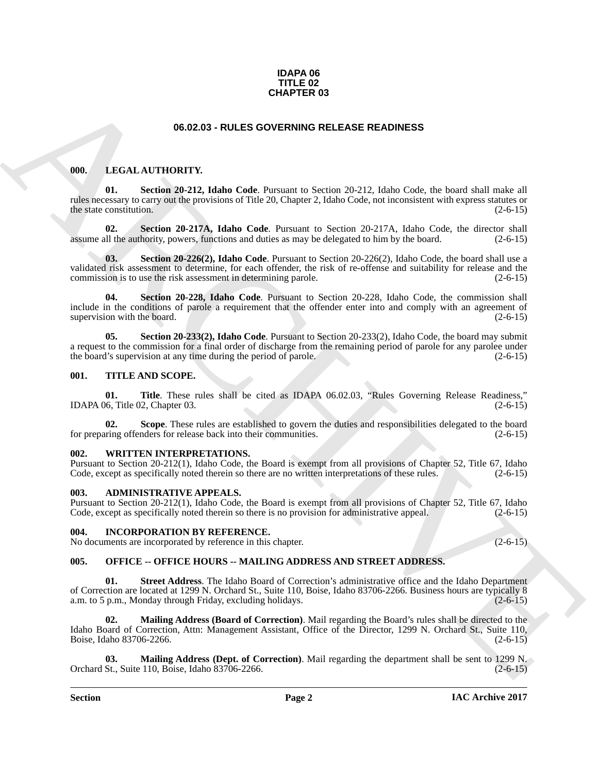#### **IDAPA 06 TITLE 02 CHAPTER 03**

#### <span id="page-1-10"></span>**06.02.03 - RULES GOVERNING RELEASE READINESS**

#### <span id="page-1-9"></span><span id="page-1-1"></span><span id="page-1-0"></span>**000. LEGAL AUTHORITY.**

**Section 20-212, Idaho Code**. Pursuant to Section 20-212, Idaho Code, the board shall make all rules necessary to carry out the provisions of Title 20, Chapter 2, Idaho Code, not inconsistent with express statutes or the state constitution.

<span id="page-1-12"></span><span id="page-1-11"></span>**02. Section 20-217A, Idaho Code**. Pursuant to Section 20-217A, Idaho Code, the director shall assume all the authority, powers, functions and duties as may be delegated to him by the board. (2-6-15)

**CHAPTER 03**<br> **CHAPTER 03**<br> **CHAPTER SOVERNING RELEASE READINESS**<br> **CHAPTER SOVERNING RELEASE ARE DIRECT AND INTERFERIENCE ARE AND STREET AND STREET AND STREET AND STREET AND STREET AND STREET AND STREET AND STREET AND ST 03. Section 20-226(2), Idaho Code**. Pursuant to Section 20-226(2), Idaho Code, the board shall use a validated risk assessment to determine, for each offender, the risk of re-offense and suitability for release and the commission is to use the risk assessment in determining parole. (2-6-15)

<span id="page-1-13"></span>**Section 20-228, Idaho Code**. Pursuant to Section 20-228, Idaho Code, the commission shall include in the conditions of parole a requirement that the offender enter into and comply with an agreement of supervision with the board.  $(2-6-15)$ 

<span id="page-1-14"></span>**05. Section 20-233(2), Idaho Code**. Pursuant to Section 20-233(2), Idaho Code, the board may submit a request to the commission for a final order of discharge from the remaining period of parole for any parolee under the board's supervision at any time during the period of parole. (2-6-15)

#### <span id="page-1-16"></span><span id="page-1-2"></span>**001. TITLE AND SCOPE.**

<span id="page-1-18"></span>**01. Title**. These rules shall be cited as IDAPA 06.02.03, "Rules Governing Release Readiness," IDAPA 06, Title 02, Chapter 03. (2-6-15)

<span id="page-1-17"></span>**02.** Scope. These rules are established to govern the duties and responsibilities delegated to the board uring offenders for release back into their communities. (2-6-15) for preparing offenders for release back into their communities.

#### <span id="page-1-19"></span><span id="page-1-3"></span>**002. WRITTEN INTERPRETATIONS.**

Pursuant to Section 20-212(1), Idaho Code, the Board is exempt from all provisions of Chapter 52, Title 67, Idaho Code, except as specifically noted therein so there are no written interpretations of these rules. (2-6-15)

#### <span id="page-1-7"></span><span id="page-1-4"></span>**003. ADMINISTRATIVE APPEALS.**

Pursuant to Section 20-212(1), Idaho Code, the Board is exempt from all provisions of Chapter 52, Title 67, Idaho Code, except as specifically noted therein so there is no provision for administrative appeal. (2-6-15)

#### <span id="page-1-8"></span><span id="page-1-5"></span>**004. INCORPORATION BY REFERENCE.**

No documents are incorporated by reference in this chapter. (2-6-15)

#### <span id="page-1-15"></span><span id="page-1-6"></span>**005. OFFICE -- OFFICE HOURS -- MAILING ADDRESS AND STREET ADDRESS.**

**01. Street Address**. The Idaho Board of Correction's administrative office and the Idaho Department of Correction are located at 1299 N. Orchard St., Suite 110, Boise, Idaho 83706-2266. Business hours are typically 8 a.m. to 5 p.m., Monday through Friday, excluding holidays.

**02. Mailing Address (Board of Correction)**. Mail regarding the Board's rules shall be directed to the Idaho Board of Correction, Attn: Management Assistant, Office of the Director, 1299 N. Orchard St., Suite 110,<br>Boise, Idaho 83706-2266. (2-6-15) Boise, Idaho 83706-2266.

**03. Mailing Address (Dept. of Correction)**. Mail regarding the department shall be sent to 1299 N. Orchard St., Suite 110, Boise, Idaho 83706-2266. (2-6-15)

**Section Page 2**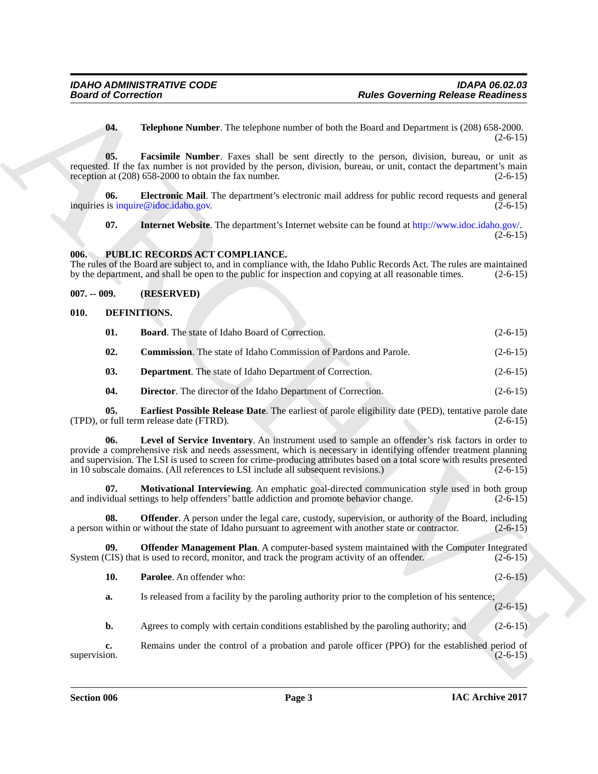**04. Telephone Number**. The telephone number of both the Board and Department is (208) 658-2000.  $(2-6-15)$ 

**05. Facsimile Number**. Faxes shall be sent directly to the person, division, bureau, or unit as requested. If the fax number is not provided by the person, division, bureau, or unit, contact the department's main reception at (208) 658-2000 to obtain the fax number. (2-6-15) reception at  $(208)$  658-2000 to obtain the fax number.

**06.** Electronic Mail. The department's electronic mail address for public record requests and general inquiries is inquire@idoc.idaho.gov. (2-6-15)

<span id="page-2-14"></span>**07. Internet Website**. The department's Internet website can be found at http://www.idoc.idaho.gov/.  $(2-6-15)$ 

#### <span id="page-2-0"></span>**006. PUBLIC RECORDS ACT COMPLIANCE.**

The rules of the Board are subject to, and in compliance with, the Idaho Public Records Act. The rules are maintained<br>by the department, and shall be open to the public for inspection and copying at all reasonable times. ( by the department, and shall be open to the public for inspection and copying at all reasonable times.

#### <span id="page-2-1"></span>**007. -- 009. (RESERVED)**

#### <span id="page-2-2"></span>**010. DEFINITIONS.**

<span id="page-2-5"></span><span id="page-2-4"></span><span id="page-2-3"></span>

| 01. | <b>Board.</b> The state of Idaho Board of Correction.                   | $(2-6-15)$ |
|-----|-------------------------------------------------------------------------|------------|
| 02. | <b>Commission.</b> The state of Idaho Commission of Pardons and Parole. | $(2-6-15)$ |

- <span id="page-2-6"></span>**03. Department**. The state of Idaho Department of Correction. (2-6-15)
- <span id="page-2-9"></span><span id="page-2-8"></span><span id="page-2-7"></span>**04. Director**. The director of the Idaho Department of Correction. (2-6-15)

**05. Earliest Possible Release Date**. The earliest of parole eligibility date (PED), tentative parole date r full term release date (FTRD). (TPD), or full term release date (FTRD).

**Board of Correction**<br> **Roles Governing Relaxio Readings**<br> **Roles Governing Relaxio Readings**<br> **Roles Governing Relaxio Readings**<br> **Roles Correction**<br> **Response Correction Relaxions Correction Correction Correction Correc 06. Level of Service Inventory**. An instrument used to sample an offender's risk factors in order to provide a comprehensive risk and needs assessment, which is necessary in identifying offender treatment planning and supervision. The LSI is used to screen for crime-producing attributes based on a total score with results presented in 10 subscale domains. (All references to LSI include all subsequent revisions.) (2-6-15)

<span id="page-2-10"></span>**07. Motivational Interviewing**. An emphatic goal-directed communication style used in both group vidual settings to help offenders' battle addiction and promote behavior change. (2-6-15) and individual settings to help offenders' battle addiction and promote behavior change.

<span id="page-2-11"></span>**08. Offender**. A person under the legal care, custody, supervision, or authority of the Board, including a person within or without the state of Idaho pursuant to agreement with another state or contractor. (2-6-15)

**09. Offender Management Plan**. A computer-based system maintained with the Computer Integrated CIS) that is used to record, monitor, and track the program activity of an offender. (2-6-15) System (CIS) that is used to record, monitor, and track the program activity of an offender.

<span id="page-2-13"></span><span id="page-2-12"></span>

|  | <b>Parolee.</b> An offender who: | $(2-6-15)$ |
|--|----------------------------------|------------|
|--|----------------------------------|------------|

**a.** Is released from a facility by the paroling authority prior to the completion of his sentence;  $(2-6-15)$ 

**b.** Agrees to comply with certain conditions established by the paroling authority; and (2-6-15)

**c.** Remains under the control of a probation and parole officer (PPO) for the established period of supervision. (2-6-15) supervision.  $(2-6-15)$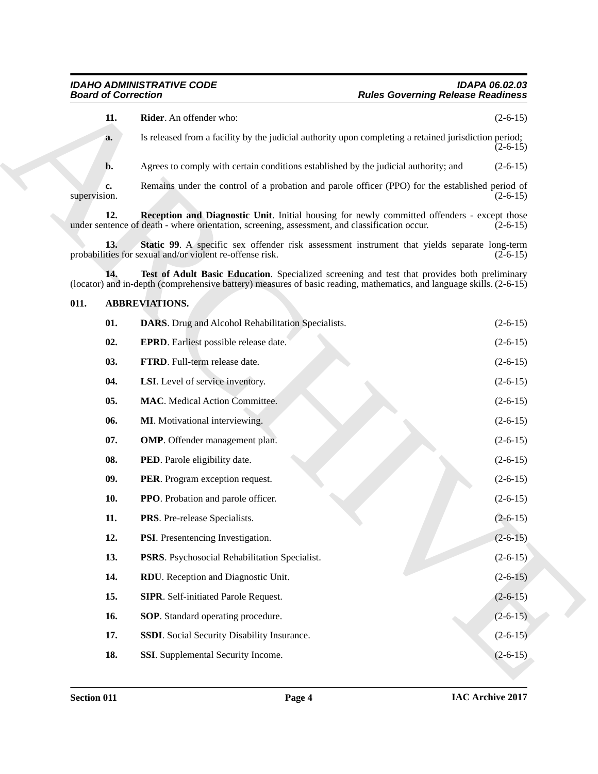#### <span id="page-3-23"></span><span id="page-3-22"></span><span id="page-3-20"></span><span id="page-3-19"></span><span id="page-3-18"></span><span id="page-3-17"></span><span id="page-3-16"></span><span id="page-3-15"></span><span id="page-3-14"></span><span id="page-3-13"></span><span id="page-3-12"></span><span id="page-3-11"></span><span id="page-3-10"></span><span id="page-3-9"></span><span id="page-3-8"></span><span id="page-3-7"></span><span id="page-3-6"></span><span id="page-3-5"></span><span id="page-3-4"></span><span id="page-3-3"></span><span id="page-3-2"></span><span id="page-3-1"></span><span id="page-3-0"></span>**011. ABBREVIATIONS.**

<span id="page-3-21"></span>

| 11.<br>Rider. An offender who:<br>Is released from a facility by the judicial authority upon completing a retained jurisdiction period;<br>a.<br>Agrees to comply with certain conditions established by the judicial authority; and<br>b.<br>Remains under the control of a probation and parole officer (PPO) for the established period of<br>c.<br>supervision.<br>12.<br>Reception and Diagnostic Unit. Initial housing for newly committed offenders - except those<br>under sentence of death - where orientation, screening, assessment, and classification occur.<br>13.<br>Static 99. A specific sex offender risk assessment instrument that yields separate long-term<br>probabilities for sexual and/or violent re-offense risk.<br>Test of Adult Basic Education. Specialized screening and test that provides both preliminary<br>14.<br>(locator) and in-depth (comprehensive battery) measures of basic reading, mathematics, and language skills. $(2-6-15)$<br>011.<br><b>ABBREVIATIONS.</b><br>01.<br><b>DARS</b> . Drug and Alcohol Rehabilitation Specialists.<br>02.<br><b>EPRD.</b> Earliest possible release date.<br>03.<br>FTRD. Full-term release date.<br>04.<br>LSI. Level of service inventory.<br>05.<br><b>MAC</b> . Medical Action Committee.<br>06.<br>MI. Motivational interviewing.<br>07.<br><b>OMP</b> . Offender management plan.<br>08.<br>PED. Parole eligibility date.<br>09.<br>PER. Program exception request.<br>10.<br><b>PPO</b> . Probation and parole officer. | $(2-6-15)$<br>$(2-6-15)$<br>$(2-6-15)$<br>$(2-6-15)$<br>$(2-6-15)$<br>$(2-6-15)$<br>$(2-6-15)$<br>$(2-6-15)$ |
|------------------------------------------------------------------------------------------------------------------------------------------------------------------------------------------------------------------------------------------------------------------------------------------------------------------------------------------------------------------------------------------------------------------------------------------------------------------------------------------------------------------------------------------------------------------------------------------------------------------------------------------------------------------------------------------------------------------------------------------------------------------------------------------------------------------------------------------------------------------------------------------------------------------------------------------------------------------------------------------------------------------------------------------------------------------------------------------------------------------------------------------------------------------------------------------------------------------------------------------------------------------------------------------------------------------------------------------------------------------------------------------------------------------------------------------------------------------------------------------------------------------|--------------------------------------------------------------------------------------------------------------|
|                                                                                                                                                                                                                                                                                                                                                                                                                                                                                                                                                                                                                                                                                                                                                                                                                                                                                                                                                                                                                                                                                                                                                                                                                                                                                                                                                                                                                                                                                                                  |                                                                                                              |
|                                                                                                                                                                                                                                                                                                                                                                                                                                                                                                                                                                                                                                                                                                                                                                                                                                                                                                                                                                                                                                                                                                                                                                                                                                                                                                                                                                                                                                                                                                                  |                                                                                                              |
|                                                                                                                                                                                                                                                                                                                                                                                                                                                                                                                                                                                                                                                                                                                                                                                                                                                                                                                                                                                                                                                                                                                                                                                                                                                                                                                                                                                                                                                                                                                  |                                                                                                              |
|                                                                                                                                                                                                                                                                                                                                                                                                                                                                                                                                                                                                                                                                                                                                                                                                                                                                                                                                                                                                                                                                                                                                                                                                                                                                                                                                                                                                                                                                                                                  |                                                                                                              |
|                                                                                                                                                                                                                                                                                                                                                                                                                                                                                                                                                                                                                                                                                                                                                                                                                                                                                                                                                                                                                                                                                                                                                                                                                                                                                                                                                                                                                                                                                                                  |                                                                                                              |
|                                                                                                                                                                                                                                                                                                                                                                                                                                                                                                                                                                                                                                                                                                                                                                                                                                                                                                                                                                                                                                                                                                                                                                                                                                                                                                                                                                                                                                                                                                                  |                                                                                                              |
|                                                                                                                                                                                                                                                                                                                                                                                                                                                                                                                                                                                                                                                                                                                                                                                                                                                                                                                                                                                                                                                                                                                                                                                                                                                                                                                                                                                                                                                                                                                  |                                                                                                              |
|                                                                                                                                                                                                                                                                                                                                                                                                                                                                                                                                                                                                                                                                                                                                                                                                                                                                                                                                                                                                                                                                                                                                                                                                                                                                                                                                                                                                                                                                                                                  |                                                                                                              |
|                                                                                                                                                                                                                                                                                                                                                                                                                                                                                                                                                                                                                                                                                                                                                                                                                                                                                                                                                                                                                                                                                                                                                                                                                                                                                                                                                                                                                                                                                                                  |                                                                                                              |
|                                                                                                                                                                                                                                                                                                                                                                                                                                                                                                                                                                                                                                                                                                                                                                                                                                                                                                                                                                                                                                                                                                                                                                                                                                                                                                                                                                                                                                                                                                                  |                                                                                                              |
|                                                                                                                                                                                                                                                                                                                                                                                                                                                                                                                                                                                                                                                                                                                                                                                                                                                                                                                                                                                                                                                                                                                                                                                                                                                                                                                                                                                                                                                                                                                  | $(2-6-15)$                                                                                                   |
|                                                                                                                                                                                                                                                                                                                                                                                                                                                                                                                                                                                                                                                                                                                                                                                                                                                                                                                                                                                                                                                                                                                                                                                                                                                                                                                                                                                                                                                                                                                  | $(2-6-15)$                                                                                                   |
|                                                                                                                                                                                                                                                                                                                                                                                                                                                                                                                                                                                                                                                                                                                                                                                                                                                                                                                                                                                                                                                                                                                                                                                                                                                                                                                                                                                                                                                                                                                  | $(2-6-15)$                                                                                                   |
|                                                                                                                                                                                                                                                                                                                                                                                                                                                                                                                                                                                                                                                                                                                                                                                                                                                                                                                                                                                                                                                                                                                                                                                                                                                                                                                                                                                                                                                                                                                  | $(2-6-15)$                                                                                                   |
|                                                                                                                                                                                                                                                                                                                                                                                                                                                                                                                                                                                                                                                                                                                                                                                                                                                                                                                                                                                                                                                                                                                                                                                                                                                                                                                                                                                                                                                                                                                  | $(2-6-15)$                                                                                                   |
|                                                                                                                                                                                                                                                                                                                                                                                                                                                                                                                                                                                                                                                                                                                                                                                                                                                                                                                                                                                                                                                                                                                                                                                                                                                                                                                                                                                                                                                                                                                  | $(2-6-15)$                                                                                                   |
|                                                                                                                                                                                                                                                                                                                                                                                                                                                                                                                                                                                                                                                                                                                                                                                                                                                                                                                                                                                                                                                                                                                                                                                                                                                                                                                                                                                                                                                                                                                  | $(2-6-15)$                                                                                                   |
|                                                                                                                                                                                                                                                                                                                                                                                                                                                                                                                                                                                                                                                                                                                                                                                                                                                                                                                                                                                                                                                                                                                                                                                                                                                                                                                                                                                                                                                                                                                  | $(2-6-15)$                                                                                                   |
| 11.<br>PRS. Pre-release Specialists.                                                                                                                                                                                                                                                                                                                                                                                                                                                                                                                                                                                                                                                                                                                                                                                                                                                                                                                                                                                                                                                                                                                                                                                                                                                                                                                                                                                                                                                                             | $(2-6-15)$                                                                                                   |
| 12.<br>PSI. Presentencing Investigation.                                                                                                                                                                                                                                                                                                                                                                                                                                                                                                                                                                                                                                                                                                                                                                                                                                                                                                                                                                                                                                                                                                                                                                                                                                                                                                                                                                                                                                                                         | $(2-6-15)$                                                                                                   |
| 13.<br>PSRS. Psychosocial Rehabilitation Specialist.                                                                                                                                                                                                                                                                                                                                                                                                                                                                                                                                                                                                                                                                                                                                                                                                                                                                                                                                                                                                                                                                                                                                                                                                                                                                                                                                                                                                                                                             | $(2-6-15)$                                                                                                   |
| 14.<br>RDU. Reception and Diagnostic Unit.                                                                                                                                                                                                                                                                                                                                                                                                                                                                                                                                                                                                                                                                                                                                                                                                                                                                                                                                                                                                                                                                                                                                                                                                                                                                                                                                                                                                                                                                       | $(2-6-15)$                                                                                                   |
| 15.<br><b>SIPR.</b> Self-initiated Parole Request.                                                                                                                                                                                                                                                                                                                                                                                                                                                                                                                                                                                                                                                                                                                                                                                                                                                                                                                                                                                                                                                                                                                                                                                                                                                                                                                                                                                                                                                               | $(2-6-15)$                                                                                                   |
| SOP. Standard operating procedure.<br>16.                                                                                                                                                                                                                                                                                                                                                                                                                                                                                                                                                                                                                                                                                                                                                                                                                                                                                                                                                                                                                                                                                                                                                                                                                                                                                                                                                                                                                                                                        |                                                                                                              |
| 17.<br>SSDI. Social Security Disability Insurance.                                                                                                                                                                                                                                                                                                                                                                                                                                                                                                                                                                                                                                                                                                                                                                                                                                                                                                                                                                                                                                                                                                                                                                                                                                                                                                                                                                                                                                                               | $(2-6-15)$                                                                                                   |
| 18.<br>SSI. Supplemental Security Income.                                                                                                                                                                                                                                                                                                                                                                                                                                                                                                                                                                                                                                                                                                                                                                                                                                                                                                                                                                                                                                                                                                                                                                                                                                                                                                                                                                                                                                                                        | $(2-6-15)$                                                                                                   |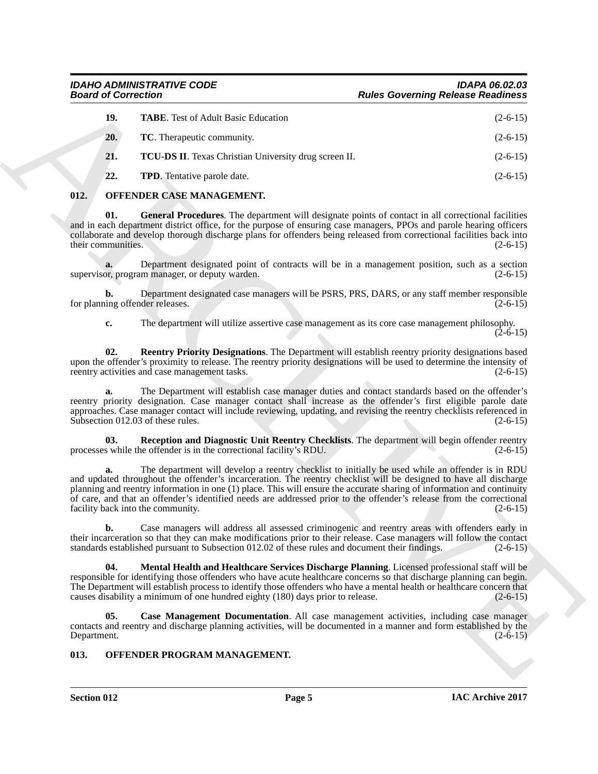| <b>Board of Correction</b> |                                                                                                                                                                                                                                                                                                                                                                                                                                                                                                              | <b>Rules Governing Release Readiness</b> |
|----------------------------|--------------------------------------------------------------------------------------------------------------------------------------------------------------------------------------------------------------------------------------------------------------------------------------------------------------------------------------------------------------------------------------------------------------------------------------------------------------------------------------------------------------|------------------------------------------|
| 19.                        | <b>TABE.</b> Test of Adult Basic Education                                                                                                                                                                                                                                                                                                                                                                                                                                                                   | $(2-6-15)$                               |
| 20.                        | TC. Therapeutic community.                                                                                                                                                                                                                                                                                                                                                                                                                                                                                   | $(2-6-15)$                               |
| 21.                        | <b>TCU-DS II.</b> Texas Christian University drug screen II.                                                                                                                                                                                                                                                                                                                                                                                                                                                 | $(2-6-15)$                               |
| 22.                        | <b>TPD</b> . Tentative parole date.                                                                                                                                                                                                                                                                                                                                                                                                                                                                          | $(2-6-15)$                               |
| 012.                       | OFFENDER CASE MANAGEMENT.                                                                                                                                                                                                                                                                                                                                                                                                                                                                                    |                                          |
| 01.<br>their communities.  | General Procedures. The department will designate points of contact in all correctional facilities<br>and in each department district office, for the purpose of ensuring case managers, PPOs and parole hearing officers<br>collaborate and develop thorough discharge plans for offenders being released from correctional facilities back into                                                                                                                                                            | $(2-6-15)$                               |
|                            | Department designated point of contracts will be in a management position, such as a section<br>supervisor, program manager, or deputy warden.                                                                                                                                                                                                                                                                                                                                                               | $(2-6-15)$                               |
| b.                         | Department designated case managers will be PSRS, PRS, DARS, or any staff member responsible<br>for planning offender releases.                                                                                                                                                                                                                                                                                                                                                                              | $(2-6-15)$                               |
| c.                         | The department will utilize assertive case management as its core case management philosophy.                                                                                                                                                                                                                                                                                                                                                                                                                | $(2-6-15)$                               |
| 02.                        | Reentry Priority Designations. The Department will establish reentry priority designations based<br>upon the offender's proximity to release. The reentry priority designations will be used to determine the intensity of<br>reentry activities and case management tasks.                                                                                                                                                                                                                                  | $(2-6-15)$                               |
| a.                         | The Department will establish case manager duties and contact standards based on the offender's<br>reentry priority designation. Case manager contact shall increase as the offender's first eligible parole date<br>approaches. Case manager contact will include reviewing, updating, and revising the reentry checklists referenced in<br>Subsection 012.03 of these rules.                                                                                                                               | $(2-6-15)$                               |
| 03.                        | Reception and Diagnostic Unit Reentry Checklists. The department will begin offender reentry<br>processes while the offender is in the correctional facility's RDU.                                                                                                                                                                                                                                                                                                                                          | $(2-6-15)$                               |
| a.                         | The department will develop a reentry checklist to initially be used while an offender is in RDU<br>and updated throughout the offender's incarceration. The reentry checklist will be designed to have all discharge<br>planning and reentry information in one (1) place. This will ensure the accurate sharing of information and continuity<br>of care, and that an offender's identified needs are addressed prior to the offender's release from the correctional<br>facility back into the community. | $(2-6-15)$                               |
| b.                         | Case managers will address all assessed criminogenic and reentry areas with offenders early in<br>their incarceration so that they can make modifications prior to their release. Case managers will follow the contact<br>standards established pursuant to Subsection 012.02 of these rules and document their findings.                                                                                                                                                                                   | $(2-6-15)$                               |
| 04.                        | Mental Health and Healthcare Services Discharge Planning. Licensed professional staff will be<br>responsible for identifying those offenders who have acute healthcare concerns so that discharge planning can begin.<br>The Department will establish process to identify those offenders who have a mental health or healthcare concern that<br>causes disability a minimum of one hundred eighty (180) days prior to release.                                                                             | $(2-6-15)$                               |
| 05.<br>Department.         | Case Management Documentation. All case management activities, including case manager<br>contacts and reentry and discharge planning activities, will be documented in a manner and form established by the                                                                                                                                                                                                                                                                                                  | $(2-6-15)$                               |
| 013.                       | OFFENDER PROGRAM MANAGEMENT.                                                                                                                                                                                                                                                                                                                                                                                                                                                                                 |                                          |

#### <span id="page-4-11"></span><span id="page-4-8"></span><span id="page-4-6"></span><span id="page-4-5"></span><span id="page-4-4"></span><span id="page-4-3"></span><span id="page-4-2"></span><span id="page-4-0"></span>**012. OFFENDER CASE MANAGEMENT.**

#### <span id="page-4-12"></span><span id="page-4-10"></span><span id="page-4-9"></span><span id="page-4-7"></span><span id="page-4-1"></span>**013. OFFENDER PROGRAM MANAGEMENT.**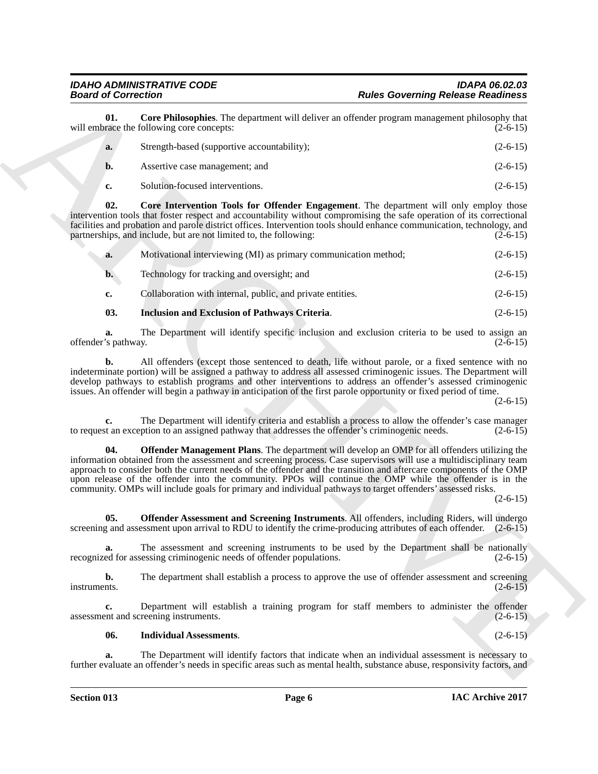**01.** Core Philosophies. The department will deliver an offender program management philosophy that race the following core concepts: (2-6-15) will embrace the following core concepts:

<span id="page-5-0"></span>

| a. | Strength-based (supportive accountability); | $(2-6-15)$ |
|----|---------------------------------------------|------------|
| n. | Assertive case management; and              | $(2-6-15)$ |
|    | Solution-focused interventions.             | $(2-6-15)$ |

**02. Core Intervention Tools for Offender Engagement**. The department will only employ those intervention tools that foster respect and accountability without compromising the safe operation of its correctional facilities and probation and parole district offices. Intervention tools should enhance communication, technology, and partnerships, and include, but are not limited to, the following: (2-6-15) partnerships, and include, but are not limited to, the following:

<span id="page-5-1"></span>

| a. | Motivational interviewing (MI) as primary communication method; | $(2-6-15)$ |
|----|-----------------------------------------------------------------|------------|
| b. | Technology for tracking and oversight; and                      | $(2-6-15)$ |
| e. | Collaboration with internal, public, and private entities.      | $(2-6-15)$ |

### <span id="page-5-2"></span>**03. Inclusion and Exclusion of Pathways Criteria**. (2-6-15)

**a.** The Department will identify specific inclusion and exclusion criteria to be used to assign an offender's pathway. (2-6-15)

**b.** All offenders (except those sentenced to death, life without parole, or a fixed sentence with no indeterminate portion) will be assigned a pathway to address all assessed criminogenic issues. The Department will develop pathways to establish programs and other interventions to address an offender's assessed criminogenic issues. An offender will begin a pathway in anticipation of the first parole opportunity or fixed period of time.

 $(2-6-15)$ 

**c.** The Department will identify criteria and establish a process to allow the offender's case manager of the and exception to an assigned pathway that addresses the offender's criminogenic needs. (2-6-15) to request an exception to an assigned pathway that addresses the offender's criminogenic needs.

**Beach of Convention**. The constraints in different and selective proposes in the selective of the proposes of the selective proposes and extent the selective proposes and extend the selective proposes are constructed in **04. Offender Management Plans**. The department will develop an OMP for all offenders utilizing the information obtained from the assessment and screening process. Case supervisors will use a multidisciplinary team approach to consider both the current needs of the offender and the transition and aftercare components of the OMP upon release of the offender into the community. PPOs will continue the OMP while the offender is in the community. OMPs will include goals for primary and individual pathways to target offenders' assessed risks.

 $(2-6-15)$ 

**05. Offender Assessment and Screening Instruments**. All offenders, including Riders, will undergo screening and assessment upon arrival to RDU to identify the crime-producing attributes of each offender. (2-6-15)

**a.** The assessment and screening instruments to be used by the Department shall be nationally ed for assessing criminogenic needs of offender populations. (2-6-15) recognized for assessing criminogenic needs of offender populations.

**b.** The department shall establish a process to approve the use of offender assessment and screening instruments. (2-6-15)

**c.** Department will establish a training program for staff members to administer the offender assessment and screening instruments. (2-6-15)

**06. Individual Assessments**. (2-6-15)

**a.** The Department will identify factors that indicate when an individual assessment is necessary to further evaluate an offender's needs in specific areas such as mental health, substance abuse, responsivity factors, and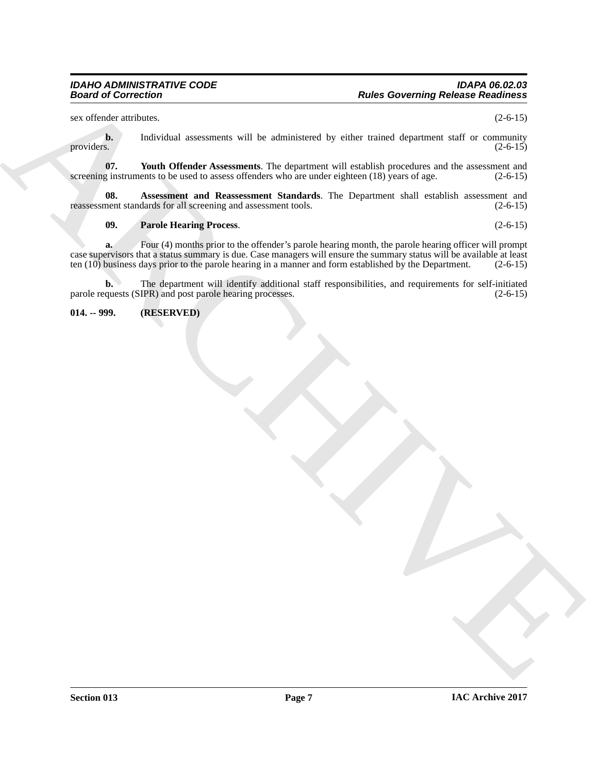sex offender attributes. (2-6-15)

**b.** Individual assessments will be administered by either trained department staff or community providers. (2-6-15) providers.  $(2-6-15)$ 

<span id="page-6-1"></span>**07.** Youth Offender Assessments. The department will establish procedures and the assessment and g instruments to be used to assess offenders who are under eighteen (18) years of age. (2-6-15) screening instruments to be used to assess offenders who are under eighteen  $(18)$  years of age.

**08. Assessment and Reassessment Standards**. The Department shall establish assessment and reassessment standards for all screening and assessment tools. (2-6-15)

#### **09. Parole Hearing Process**. (2-6-15)

Real of Correction<br>
Figure 1. Individual angular<br>
provided includes the state of the state of the state of the state of the state of the state of the state of<br>
provided includes the state of the state of the state of the s **a.** Four (4) months prior to the offender's parole hearing month, the parole hearing officer will prompt case supervisors that a status summary is due. Case managers will ensure the summary status will be available at least ten (10) business days prior to the parole hearing in a manner and form established by the Department. (2-6-15)

**b.** The department will identify additional staff responsibilities, and requirements for self-initiated parole requests (SIPR) and post parole hearing processes. (2-6-15)

<span id="page-6-0"></span>**014. -- 999. (RESERVED)**